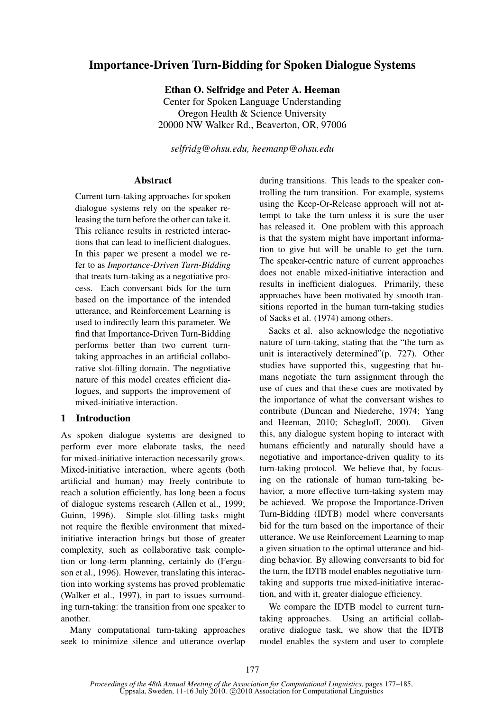# Importance-Driven Turn-Bidding for Spoken Dialogue Systems

Ethan O. Selfridge and Peter A. Heeman Center for Spoken Language Understanding Oregon Health & Science University 20000 NW Walker Rd., Beaverton, OR, 97006

*selfridg@ohsu.edu, heemanp@ohsu.edu*

## Abstract

Current turn-taking approaches for spoken dialogue systems rely on the speaker releasing the turn before the other can take it. This reliance results in restricted interactions that can lead to inefficient dialogues. In this paper we present a model we refer to as *Importance-Driven Turn-Bidding* that treats turn-taking as a negotiative process. Each conversant bids for the turn based on the importance of the intended utterance, and Reinforcement Learning is used to indirectly learn this parameter. We find that Importance-Driven Turn-Bidding performs better than two current turntaking approaches in an artificial collaborative slot-filling domain. The negotiative nature of this model creates efficient dialogues, and supports the improvement of mixed-initiative interaction.

# 1 Introduction

As spoken dialogue systems are designed to perform ever more elaborate tasks, the need for mixed-initiative interaction necessarily grows. Mixed-initiative interaction, where agents (both artificial and human) may freely contribute to reach a solution efficiently, has long been a focus of dialogue systems research (Allen et al., 1999; Guinn, 1996). Simple slot-filling tasks might not require the flexible environment that mixedinitiative interaction brings but those of greater complexity, such as collaborative task completion or long-term planning, certainly do (Ferguson et al., 1996). However, translating this interaction into working systems has proved problematic (Walker et al., 1997), in part to issues surrounding turn-taking: the transition from one speaker to another.

Many computational turn-taking approaches seek to minimize silence and utterance overlap

during transitions. This leads to the speaker controlling the turn transition. For example, systems using the Keep-Or-Release approach will not attempt to take the turn unless it is sure the user has released it. One problem with this approach is that the system might have important information to give but will be unable to get the turn. The speaker-centric nature of current approaches does not enable mixed-initiative interaction and results in inefficient dialogues. Primarily, these approaches have been motivated by smooth transitions reported in the human turn-taking studies of Sacks et al. (1974) among others.

Sacks et al. also acknowledge the negotiative nature of turn-taking, stating that the "the turn as unit is interactively determined"(p. 727). Other studies have supported this, suggesting that humans negotiate the turn assignment through the use of cues and that these cues are motivated by the importance of what the conversant wishes to contribute (Duncan and Niederehe, 1974; Yang and Heeman, 2010; Schegloff, 2000). Given this, any dialogue system hoping to interact with humans efficiently and naturally should have a negotiative and importance-driven quality to its turn-taking protocol. We believe that, by focusing on the rationale of human turn-taking behavior, a more effective turn-taking system may be achieved. We propose the Importance-Driven Turn-Bidding (IDTB) model where conversants bid for the turn based on the importance of their utterance. We use Reinforcement Learning to map a given situation to the optimal utterance and bidding behavior. By allowing conversants to bid for the turn, the IDTB model enables negotiative turntaking and supports true mixed-initiative interaction, and with it, greater dialogue efficiency.

We compare the IDTB model to current turntaking approaches. Using an artificial collaborative dialogue task, we show that the IDTB model enables the system and user to complete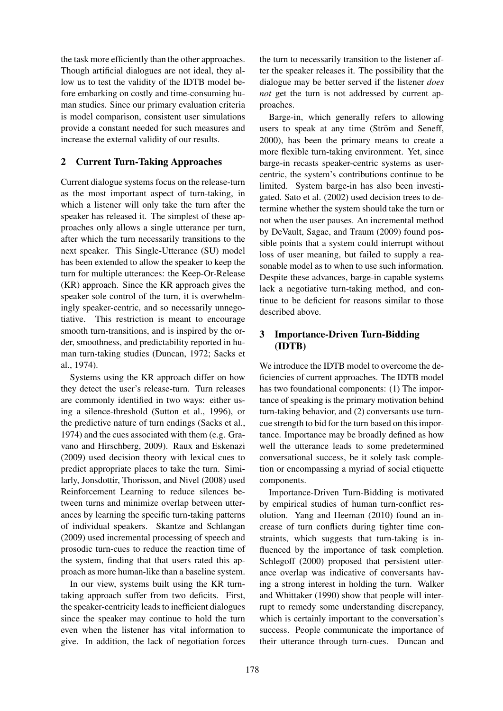the task more efficiently than the other approaches. Though artificial dialogues are not ideal, they allow us to test the validity of the IDTB model before embarking on costly and time-consuming human studies. Since our primary evaluation criteria is model comparison, consistent user simulations provide a constant needed for such measures and increase the external validity of our results.

# 2 Current Turn-Taking Approaches

Current dialogue systems focus on the release-turn as the most important aspect of turn-taking, in which a listener will only take the turn after the speaker has released it. The simplest of these approaches only allows a single utterance per turn, after which the turn necessarily transitions to the next speaker. This Single-Utterance (SU) model has been extended to allow the speaker to keep the turn for multiple utterances: the Keep-Or-Release (KR) approach. Since the KR approach gives the speaker sole control of the turn, it is overwhelmingly speaker-centric, and so necessarily unnegotiative. This restriction is meant to encourage smooth turn-transitions, and is inspired by the order, smoothness, and predictability reported in human turn-taking studies (Duncan, 1972; Sacks et al., 1974).

Systems using the KR approach differ on how they detect the user's release-turn. Turn releases are commonly identified in two ways: either using a silence-threshold (Sutton et al., 1996), or the predictive nature of turn endings (Sacks et al., 1974) and the cues associated with them (e.g. Gravano and Hirschberg, 2009). Raux and Eskenazi (2009) used decision theory with lexical cues to predict appropriate places to take the turn. Similarly, Jonsdottir, Thorisson, and Nivel (2008) used Reinforcement Learning to reduce silences between turns and minimize overlap between utterances by learning the specific turn-taking patterns of individual speakers. Skantze and Schlangan (2009) used incremental processing of speech and prosodic turn-cues to reduce the reaction time of the system, finding that that users rated this approach as more human-like than a baseline system.

In our view, systems built using the KR turntaking approach suffer from two deficits. First, the speaker-centricity leads to inefficient dialogues since the speaker may continue to hold the turn even when the listener has vital information to give. In addition, the lack of negotiation forces the turn to necessarily transition to the listener after the speaker releases it. The possibility that the dialogue may be better served if the listener *does not* get the turn is not addressed by current approaches.

Barge-in, which generally refers to allowing users to speak at any time (Ström and Seneff, 2000), has been the primary means to create a more flexible turn-taking environment. Yet, since barge-in recasts speaker-centric systems as usercentric, the system's contributions continue to be limited. System barge-in has also been investigated. Sato et al. (2002) used decision trees to determine whether the system should take the turn or not when the user pauses. An incremental method by DeVault, Sagae, and Traum (2009) found possible points that a system could interrupt without loss of user meaning, but failed to supply a reasonable model as to when to use such information. Despite these advances, barge-in capable systems lack a negotiative turn-taking method, and continue to be deficient for reasons similar to those described above.

# 3 Importance-Driven Turn-Bidding (IDTB)

We introduce the IDTB model to overcome the deficiencies of current approaches. The IDTB model has two foundational components: (1) The importance of speaking is the primary motivation behind turn-taking behavior, and (2) conversants use turncue strength to bid for the turn based on this importance. Importance may be broadly defined as how well the utterance leads to some predetermined conversational success, be it solely task completion or encompassing a myriad of social etiquette components.

Importance-Driven Turn-Bidding is motivated by empirical studies of human turn-conflict resolution. Yang and Heeman (2010) found an increase of turn conflicts during tighter time constraints, which suggests that turn-taking is influenced by the importance of task completion. Schlegoff (2000) proposed that persistent utterance overlap was indicative of conversants having a strong interest in holding the turn. Walker and Whittaker (1990) show that people will interrupt to remedy some understanding discrepancy, which is certainly important to the conversation's success. People communicate the importance of their utterance through turn-cues. Duncan and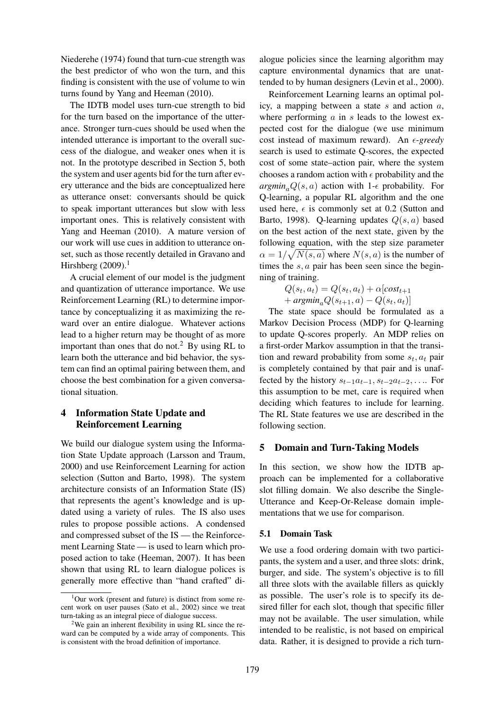Niederehe (1974) found that turn-cue strength was the best predictor of who won the turn, and this finding is consistent with the use of volume to win turns found by Yang and Heeman (2010).

The IDTB model uses turn-cue strength to bid for the turn based on the importance of the utterance. Stronger turn-cues should be used when the intended utterance is important to the overall success of the dialogue, and weaker ones when it is not. In the prototype described in Section 5, both the system and user agents bid for the turn after every utterance and the bids are conceptualized here as utterance onset: conversants should be quick to speak important utterances but slow with less important ones. This is relatively consistent with Yang and Heeman (2010). A mature version of our work will use cues in addition to utterance onset, such as those recently detailed in Gravano and Hirshberg  $(2009).$ <sup>1</sup>

A crucial element of our model is the judgment and quantization of utterance importance. We use Reinforcement Learning (RL) to determine importance by conceptualizing it as maximizing the reward over an entire dialogue. Whatever actions lead to a higher return may be thought of as more important than ones that do not.<sup>2</sup> By using RL to learn both the utterance and bid behavior, the system can find an optimal pairing between them, and choose the best combination for a given conversational situation.

# 4 Information State Update and Reinforcement Learning

We build our dialogue system using the Information State Update approach (Larsson and Traum, 2000) and use Reinforcement Learning for action selection (Sutton and Barto, 1998). The system architecture consists of an Information State (IS) that represents the agent's knowledge and is updated using a variety of rules. The IS also uses rules to propose possible actions. A condensed and compressed subset of the IS — the Reinforcement Learning State — is used to learn which proposed action to take (Heeman, 2007). It has been shown that using RL to learn dialogue polices is generally more effective than "hand crafted" dialogue policies since the learning algorithm may capture environmental dynamics that are unattended to by human designers (Levin et al., 2000).

Reinforcement Learning learns an optimal policy, a mapping between a state  $s$  and action  $a$ , where performing  $\alpha$  in  $s$  leads to the lowest expected cost for the dialogue (we use minimum cost instead of maximum reward). An  $\epsilon$ -greedy search is used to estimate Q-scores, the expected cost of some state–action pair, where the system chooses a random action with  $\epsilon$  probability and the  $argmin_a Q(s, a)$  action with 1- $\epsilon$  probability. For Q-learning, a popular RL algorithm and the one used here,  $\epsilon$  is commonly set at 0.2 (Sutton and Barto, 1998). Q-learning updates  $Q(s, a)$  based on the best action of the next state, given by the following equation, with the step size parameter  $\alpha = 1/\sqrt{N(s, a)}$  where  $N(s, a)$  is the number of times the  $s, a$  pair has been seen since the beginning of training.

$$
Q(s_t, a_t) = Q(s_t, a_t) + \alpha[cost_{t+1}+ argmin_a Q(s_{t+1}, a) - Q(s_t, a_t)]
$$

The state space should be formulated as a Markov Decision Process (MDP) for Q-learning to update Q-scores properly. An MDP relies on a first-order Markov assumption in that the transition and reward probability from some  $s_t$ ,  $a_t$  pair is completely contained by that pair and is unaffected by the history  $s_{t-1}a_{t-1}, s_{t-2}a_{t-2}, \ldots$  For this assumption to be met, care is required when deciding which features to include for learning. The RL State features we use are described in the following section.

# 5 Domain and Turn-Taking Models

In this section, we show how the IDTB approach can be implemented for a collaborative slot filling domain. We also describe the Single-Utterance and Keep-Or-Release domain implementations that we use for comparison.

## 5.1 Domain Task

We use a food ordering domain with two participants, the system and a user, and three slots: drink, burger, and side. The system's objective is to fill all three slots with the available fillers as quickly as possible. The user's role is to specify its desired filler for each slot, though that specific filler may not be available. The user simulation, while intended to be realistic, is not based on empirical data. Rather, it is designed to provide a rich turn-

 $1$ Our work (present and future) is distinct from some recent work on user pauses (Sato et al., 2002) since we treat turn-taking as an integral piece of dialogue success.

<sup>&</sup>lt;sup>2</sup>We gain an inherent flexibility in using RL since the reward can be computed by a wide array of components. This is consistent with the broad definition of importance.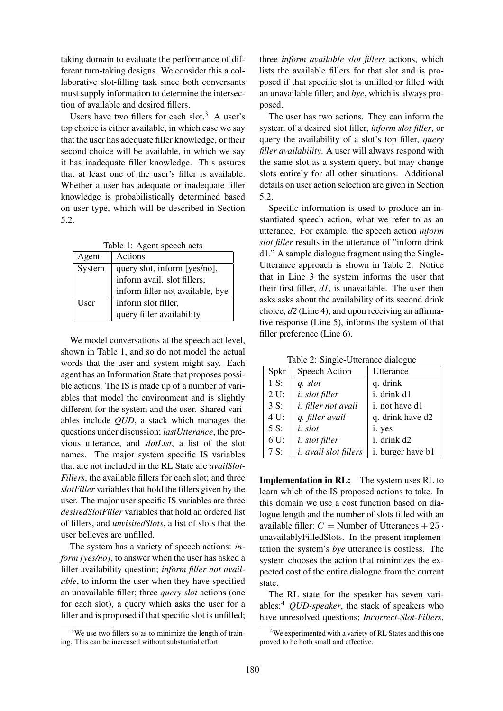taking domain to evaluate the performance of different turn-taking designs. We consider this a collaborative slot-filling task since both conversants must supply information to determine the intersection of available and desired fillers.

Users have two fillers for each slot.<sup>3</sup> A user's top choice is either available, in which case we say that the user has adequate filler knowledge, or their second choice will be available, in which we say it has inadequate filler knowledge. This assures that at least one of the user's filler is available. Whether a user has adequate or inadequate filler knowledge is probabilistically determined based on user type, which will be described in Section 5.2.

Table 1: Agent speech acts

| Agent  | Actions                                                     |  |
|--------|-------------------------------------------------------------|--|
| System |                                                             |  |
|        | query slot, inform [yes/no],<br>inform avail. slot fillers, |  |
|        | inform filler not available, bye                            |  |
| User   | inform slot filler,                                         |  |
|        | query filler availability                                   |  |

We model conversations at the speech act level, shown in Table 1, and so do not model the actual words that the user and system might say. Each agent has an Information State that proposes possible actions. The IS is made up of a number of variables that model the environment and is slightly different for the system and the user. Shared variables include *QUD*, a stack which manages the questions under discussion; *lastUtterance*, the previous utterance, and *slotList*, a list of the slot names. The major system specific IS variables that are not included in the RL State are *availSlot-Fillers*, the available fillers for each slot; and three *slotFiller* variables that hold the fillers given by the user. The major user specific IS variables are three *desiredSlotFiller* variables that hold an ordered list of fillers, and *unvisitedSlots*, a list of slots that the user believes are unfilled.

The system has a variety of speech actions: *inform [yes/no]*, to answer when the user has asked a filler availability question; *inform filler not available*, to inform the user when they have specified an unavailable filler; three *query slot* actions (one for each slot), a query which asks the user for a filler and is proposed if that specific slot is unfilled;

three *inform available slot fillers* actions, which lists the available fillers for that slot and is proposed if that specific slot is unfilled or filled with an unavailable filler; and *bye*, which is always proposed.

The user has two actions. They can inform the system of a desired slot filler, *inform slot filler*, or query the availability of a slot's top filler, *query filler availability*. A user will always respond with the same slot as a system query, but may change slots entirely for all other situations. Additional details on user action selection are given in Section 5.2.

Specific information is used to produce an instantiated speech action, what we refer to as an utterance. For example, the speech action *inform slot filler* results in the utterance of "inform drink d1." A sample dialogue fragment using the Single-Utterance approach is shown in Table 2. Notice that in Line 3 the system informs the user that their first filler, *d1*, is unavailable. The user then asks asks about the availability of its second drink choice, *d2* (Line 4), and upon receiving an affirmative response (Line 5), informs the system of that filler preference (Line 6).

Table 2: Single-Utterance dialogue

| Spkr   | Speech Action                | Utterance         |
|--------|------------------------------|-------------------|
| 1 S:   | q. slot                      | q. drink          |
| $2U$ : | <i>i.</i> slot filler        | i. drink d1       |
| 3 S:   | <i>i.</i> filler not avail   | i. not have d1    |
| 4 U:   | q. filler avail              | q. drink have d2  |
| 5 S:   | <i>i.</i> slot               | i. yes            |
| 6 U:   | <i>i.</i> slot filler        | i. drink d2       |
| 7S:    | <i>i. avail slot fillers</i> | i. burger have b1 |

Implementation in RL: The system uses RL to learn which of the IS proposed actions to take. In this domain we use a cost function based on dialogue length and the number of slots filled with an available filler:  $C =$  Number of Utterances  $+ 25 \cdot$ unavailablyFilledSlots. In the present implementation the system's *bye* utterance is costless. The system chooses the action that minimizes the expected cost of the entire dialogue from the current state.

The RL state for the speaker has seven variables:<sup>4</sup> *QUD-speaker*, the stack of speakers who have unresolved questions; *Incorrect-Slot-Fillers*,

 $3$ We use two fillers so as to minimize the length of training. This can be increased without substantial effort.

<sup>&</sup>lt;sup>4</sup>We experimented with a variety of RL States and this one proved to be both small and effective.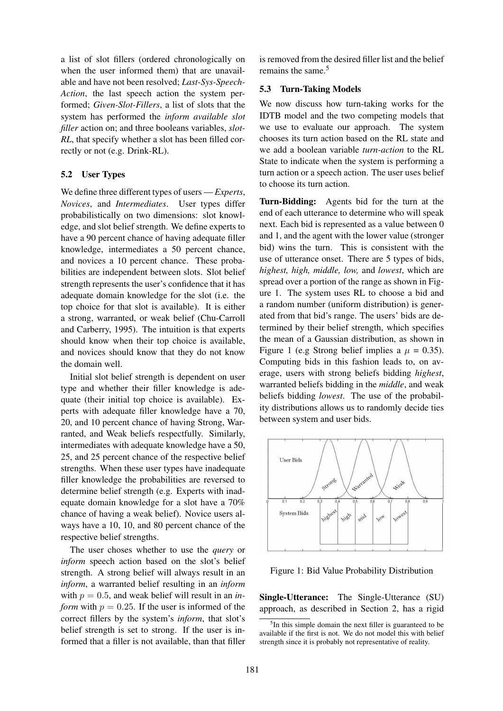a list of slot fillers (ordered chronologically on when the user informed them) that are unavailable and have not been resolved; *Last-Sys-Speech-Action*, the last speech action the system performed; *Given-Slot-Fillers*, a list of slots that the system has performed the *inform available slot filler* action on; and three booleans variables, *slot-RL*, that specify whether a slot has been filled correctly or not (e.g. Drink-RL).

## 5.2 User Types

We define three different types of users — *Experts*, *Novices*, and *Intermediates*. User types differ probabilistically on two dimensions: slot knowledge, and slot belief strength. We define experts to have a 90 percent chance of having adequate filler knowledge, intermediates a 50 percent chance, and novices a 10 percent chance. These probabilities are independent between slots. Slot belief strength represents the user's confidence that it has adequate domain knowledge for the slot (i.e. the top choice for that slot is available). It is either a strong, warranted, or weak belief (Chu-Carroll and Carberry, 1995). The intuition is that experts should know when their top choice is available, and novices should know that they do not know the domain well.

Initial slot belief strength is dependent on user type and whether their filler knowledge is adequate (their initial top choice is available). Experts with adequate filler knowledge have a 70, 20, and 10 percent chance of having Strong, Warranted, and Weak beliefs respectfully. Similarly, intermediates with adequate knowledge have a 50, 25, and 25 percent chance of the respective belief strengths. When these user types have inadequate filler knowledge the probabilities are reversed to determine belief strength (e.g. Experts with inadequate domain knowledge for a slot have a 70% chance of having a weak belief). Novice users always have a 10, 10, and 80 percent chance of the respective belief strengths.

The user choses whether to use the *query* or *inform* speech action based on the slot's belief strength. A strong belief will always result in an *inform*, a warranted belief resulting in an *inform* with  $p = 0.5$ , and weak belief will result in an *inform* with  $p = 0.25$ . If the user is informed of the correct fillers by the system's *inform*, that slot's belief strength is set to strong. If the user is informed that a filler is not available, than that filler

is removed from the desired filler list and the belief remains the same.<sup>5</sup>

### 5.3 Turn-Taking Models

We now discuss how turn-taking works for the IDTB model and the two competing models that we use to evaluate our approach. The system chooses its turn action based on the RL state and we add a boolean variable *turn-action* to the RL State to indicate when the system is performing a turn action or a speech action. The user uses belief to choose its turn action.

Turn-Bidding: Agents bid for the turn at the end of each utterance to determine who will speak next. Each bid is represented as a value between 0 and 1, and the agent with the lower value (stronger bid) wins the turn. This is consistent with the use of utterance onset. There are 5 types of bids, *highest, high, middle, low,* and *lowest*, which are spread over a portion of the range as shown in Figure 1. The system uses RL to choose a bid and a random number (uniform distribution) is generated from that bid's range. The users' bids are determined by their belief strength, which specifies the mean of a Gaussian distribution, as shown in Figure 1 (e.g Strong belief implies a  $\mu = 0.35$ ). Computing bids in this fashion leads to, on average, users with strong beliefs bidding *highest*, warranted beliefs bidding in the *middle*, and weak beliefs bidding *lowest*. The use of the probability distributions allows us to randomly decide ties between system and user bids.



Figure 1: Bid Value Probability Distribution

Single-Utterance: The Single-Utterance (SU) approach, as described in Section 2, has a rigid

<sup>&</sup>lt;sup>5</sup>In this simple domain the next filler is guaranteed to be available if the first is not. We do not model this with belief strength since it is probably not representative of reality.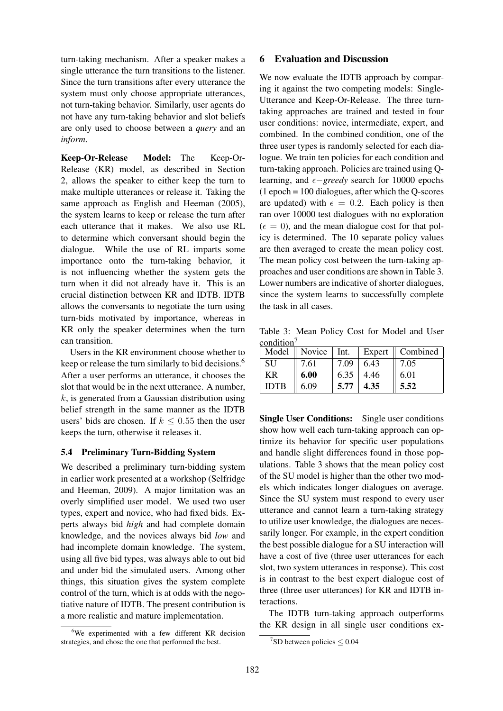turn-taking mechanism. After a speaker makes a single utterance the turn transitions to the listener. Since the turn transitions after every utterance the system must only choose appropriate utterances, not turn-taking behavior. Similarly, user agents do not have any turn-taking behavior and slot beliefs are only used to choose between a *query* and an *inform*.

Keep-Or-Release Model: The Keep-Or-Release (KR) model, as described in Section 2, allows the speaker to either keep the turn to make multiple utterances or release it. Taking the same approach as English and Heeman (2005), the system learns to keep or release the turn after each utterance that it makes. We also use RL to determine which conversant should begin the dialogue. While the use of RL imparts some importance onto the turn-taking behavior, it is not influencing whether the system gets the turn when it did not already have it. This is an crucial distinction between KR and IDTB. IDTB allows the conversants to negotiate the turn using turn-bids motivated by importance, whereas in KR only the speaker determines when the turn can transition.

Users in the KR environment choose whether to keep or release the turn similarly to bid decisions.<sup>6</sup> After a user performs an utterance, it chooses the slot that would be in the next utterance. A number,  $k$ , is generated from a Gaussian distribution using belief strength in the same manner as the IDTB users' bids are chosen. If  $k \leq 0.55$  then the user keeps the turn, otherwise it releases it.

## 5.4 Preliminary Turn-Bidding System

We described a preliminary turn-bidding system in earlier work presented at a workshop (Selfridge and Heeman, 2009). A major limitation was an overly simplified user model. We used two user types, expert and novice, who had fixed bids. Experts always bid *high* and had complete domain knowledge, and the novices always bid *low* and had incomplete domain knowledge. The system, using all five bid types, was always able to out bid and under bid the simulated users. Among other things, this situation gives the system complete control of the turn, which is at odds with the negotiative nature of IDTB. The present contribution is a more realistic and mature implementation.

#### 6 Evaluation and Discussion

We now evaluate the IDTB approach by comparing it against the two competing models: Single-Utterance and Keep-Or-Release. The three turntaking approaches are trained and tested in four user conditions: novice, intermediate, expert, and combined. In the combined condition, one of the three user types is randomly selected for each dialogue. We train ten policies for each condition and turn-taking approach. Policies are trained using Qlearning, and  $\epsilon$ *−greedy* search for 10000 epochs  $(1$  epoch = 100 dialogues, after which the Q-scores are updated) with  $\epsilon = 0.2$ . Each policy is then ran over 10000 test dialogues with no exploration  $(\epsilon = 0)$ , and the mean dialogue cost for that policy is determined. The 10 separate policy values are then averaged to create the mean policy cost. The mean policy cost between the turn-taking approaches and user conditions are shown in Table 3. Lower numbers are indicative of shorter dialogues, since the system learns to successfully complete the task in all cases.

Table 3: Mean Policy Cost for Model and User condition<sup>7</sup>

|             | Model $\parallel$ Novice $\parallel$ Int. |      |      | Expert    Combined |
|-------------|-------------------------------------------|------|------|--------------------|
| <b>SU</b>   | 7.61                                      | 7.09 | 6.43 | 7.05               |
| KR          | 6.00                                      | 6.35 | 4.46 | 6.01               |
| <b>IDTB</b> | 6.09                                      | 5.77 | 4.35 | 5.52               |

Single User Conditions: Single user conditions show how well each turn-taking approach can optimize its behavior for specific user populations and handle slight differences found in those populations. Table 3 shows that the mean policy cost of the SU model is higher than the other two models which indicates longer dialogues on average. Since the SU system must respond to every user utterance and cannot learn a turn-taking strategy to utilize user knowledge, the dialogues are necessarily longer. For example, in the expert condition the best possible dialogue for a SU interaction will have a cost of five (three user utterances for each slot, two system utterances in response). This cost is in contrast to the best expert dialogue cost of three (three user utterances) for KR and IDTB interactions.

The IDTB turn-taking approach outperforms the KR design in all single user conditions ex-

<sup>&</sup>lt;sup>6</sup>We experimented with a few different KR decision strategies, and chose the one that performed the best.

 $7$ SD between policies  $\leq 0.04$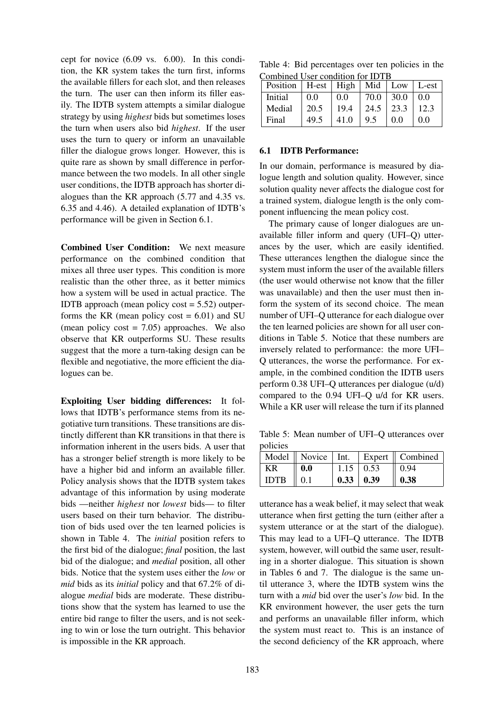cept for novice (6.09 vs. 6.00). In this condition, the KR system takes the turn first, informs the available fillers for each slot, and then releases the turn. The user can then inform its filler easily. The IDTB system attempts a similar dialogue strategy by using *highest* bids but sometimes loses the turn when users also bid *highest*. If the user uses the turn to query or inform an unavailable filler the dialogue grows longer. However, this is quite rare as shown by small difference in performance between the two models. In all other single user conditions, the IDTB approach has shorter dialogues than the KR approach (5.77 and 4.35 vs. 6.35 and 4.46). A detailed explanation of IDTB's performance will be given in Section 6.1.

Combined User Condition: We next measure performance on the combined condition that mixes all three user types. This condition is more realistic than the other three, as it better mimics how a system will be used in actual practice. The IDTB approach (mean policy  $cost = 5.52$ ) outperforms the KR (mean policy cost  $= 6.01$ ) and SU (mean policy  $cost = 7.05$ ) approaches. We also observe that KR outperforms SU. These results suggest that the more a turn-taking design can be flexible and negotiative, the more efficient the dialogues can be.

Exploiting User bidding differences: It follows that IDTB's performance stems from its negotiative turn transitions. These transitions are distinctly different than KR transitions in that there is information inherent in the users bids. A user that has a stronger belief strength is more likely to be have a higher bid and inform an available filler. Policy analysis shows that the IDTB system takes advantage of this information by using moderate bids —neither *highest* nor *lowest* bids— to filter users based on their turn behavior. The distribution of bids used over the ten learned policies is shown in Table 4. The *initial* position refers to the first bid of the dialogue; *final* position, the last bid of the dialogue; and *medial* position, all other bids. Notice that the system uses either the *low* or *mid* bids as its *initial* policy and that 67.2% of dialogue *medial* bids are moderate. These distributions show that the system has learned to use the entire bid range to filter the users, and is not seeking to win or lose the turn outright. This behavior is impossible in the KR approach.

Table 4: Bid percentages over ten policies in the Combined User condition for IDTB

| Position | H-est   High   Mid |      |               | Low  | L-est |
|----------|--------------------|------|---------------|------|-------|
| Initial  | 0.0                | 0.0  | 70.0          | 30.0 | 0.0   |
| Medial   | 20.5               | 19.4 | $24.5$   23.3 |      | 12.3  |
| Final    | 49.5               | 41.0 | 9.5           | 0.0  | 0.0   |

### 6.1 IDTB Performance:

In our domain, performance is measured by dialogue length and solution quality. However, since solution quality never affects the dialogue cost for a trained system, dialogue length is the only component influencing the mean policy cost.

The primary cause of longer dialogues are unavailable filler inform and query (UFI–Q) utterances by the user, which are easily identified. These utterances lengthen the dialogue since the system must inform the user of the available fillers (the user would otherwise not know that the filler was unavailable) and then the user must then inform the system of its second choice. The mean number of UFI–Q utterance for each dialogue over the ten learned policies are shown for all user conditions in Table 5. Notice that these numbers are inversely related to performance: the more UFI– Q utterances, the worse the performance. For example, in the combined condition the IDTB users perform 0.38 UFI–Q utterances per dialogue (u/d) compared to the 0.94 UFI–Q u/d for KR users. While a KR user will release the turn if its planned

Table 5: Mean number of UFI–Q utterances over policies

|             |                 |                     | Model   Novice   Int.   Expert    Combined |
|-------------|-----------------|---------------------|--------------------------------------------|
| ΚR          | $\bf{0.0}$      | $1.15 \pm 0.53$     | 0.94                                       |
| <b>IDTB</b> | $\parallel 0.1$ | $0.33 \,   \, 0.39$ | 0.38                                       |

utterance has a weak belief, it may select that weak utterance when first getting the turn (either after a system utterance or at the start of the dialogue). This may lead to a UFI–Q utterance. The IDTB system, however, will outbid the same user, resulting in a shorter dialogue. This situation is shown in Tables 6 and 7. The dialogue is the same until utterance 3, where the IDTB system wins the turn with a *mid* bid over the user's *low* bid. In the KR environment however, the user gets the turn and performs an unavailable filler inform, which the system must react to. This is an instance of the second deficiency of the KR approach, where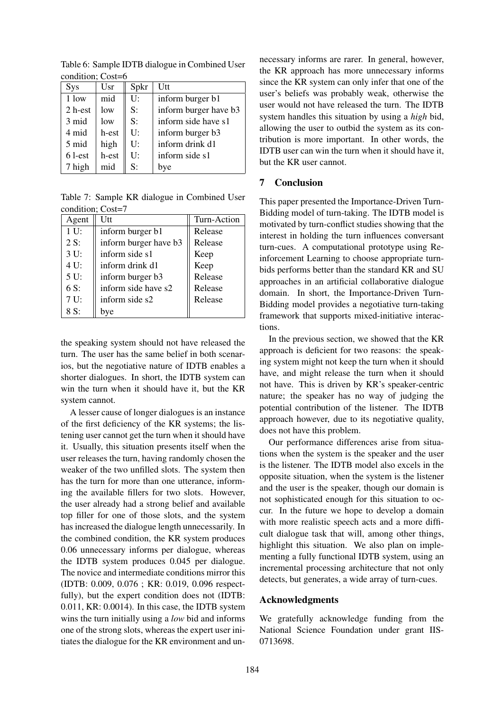| condition, cost-o |       |      |                       |
|-------------------|-------|------|-----------------------|
| Sys               | Usr   | Spkr | Utt                   |
| 1 low             | mid   | U:   | inform burger b1      |
| 2 h-est           | low   | S:   | inform burger have b3 |
| 3 mid             | low   | S:   | inform side have s1   |
| 4 mid             | h-est | U:   | inform burger b3      |
| 5 mid             | high  | U:   | inform drink d1       |
| 6 l-est           | h-est | U:   | inform side s1        |
| 7 high            | mid   | S:   | bye                   |
|                   |       |      |                       |

Table 6: Sample IDTB dialogue in Combined User condition; Cost=6

Table 7: Sample KR dialogue in Combined User condition; Cost=7

| Agent | Utt                   | Turn-Action |  |
|-------|-----------------------|-------------|--|
| 1 U:  | inform burger b1      | Release     |  |
| 2 S:  | inform burger have b3 | Release     |  |
| 3 U:  | inform side s1        | Keep        |  |
| 4 U:  | inform drink d1       | Keep        |  |
| 5 U:  | inform burger b3      | Release     |  |
| 6 S:  | inform side have s2   | Release     |  |
| 7 U:  | inform side s2        | Release     |  |
| 8 S:  | bve                   |             |  |

the speaking system should not have released the turn. The user has the same belief in both scenarios, but the negotiative nature of IDTB enables a shorter dialogues. In short, the IDTB system can win the turn when it should have it, but the KR system cannot.

A lesser cause of longer dialogues is an instance of the first deficiency of the KR systems; the listening user cannot get the turn when it should have it. Usually, this situation presents itself when the user releases the turn, having randomly chosen the weaker of the two unfilled slots. The system then has the turn for more than one utterance, informing the available fillers for two slots. However, the user already had a strong belief and available top filler for one of those slots, and the system has increased the dialogue length unnecessarily. In the combined condition, the KR system produces 0.06 unnecessary informs per dialogue, whereas the IDTB system produces 0.045 per dialogue. The novice and intermediate conditions mirror this (IDTB: 0.009, 0.076 ; KR: 0.019, 0.096 respectfully), but the expert condition does not (IDTB: 0.011, KR: 0.0014). In this case, the IDTB system wins the turn initially using a *low* bid and informs one of the strong slots, whereas the expert user initiates the dialogue for the KR environment and un-

necessary informs are rarer. In general, however, the KR approach has more unnecessary informs since the KR system can only infer that one of the user's beliefs was probably weak, otherwise the user would not have released the turn. The IDTB system handles this situation by using a *high* bid, allowing the user to outbid the system as its contribution is more important. In other words, the IDTB user can win the turn when it should have it, but the KR user cannot.

# 7 Conclusion

This paper presented the Importance-Driven Turn-Bidding model of turn-taking. The IDTB model is motivated by turn-conflict studies showing that the interest in holding the turn influences conversant turn-cues. A computational prototype using Reinforcement Learning to choose appropriate turnbids performs better than the standard KR and SU approaches in an artificial collaborative dialogue domain. In short, the Importance-Driven Turn-Bidding model provides a negotiative turn-taking framework that supports mixed-initiative interactions.

In the previous section, we showed that the KR approach is deficient for two reasons: the speaking system might not keep the turn when it should have, and might release the turn when it should not have. This is driven by KR's speaker-centric nature; the speaker has no way of judging the potential contribution of the listener. The IDTB approach however, due to its negotiative quality, does not have this problem.

Our performance differences arise from situations when the system is the speaker and the user is the listener. The IDTB model also excels in the opposite situation, when the system is the listener and the user is the speaker, though our domain is not sophisticated enough for this situation to occur. In the future we hope to develop a domain with more realistic speech acts and a more difficult dialogue task that will, among other things, highlight this situation. We also plan on implementing a fully functional IDTB system, using an incremental processing architecture that not only detects, but generates, a wide array of turn-cues.

# Acknowledgments

We gratefully acknowledge funding from the National Science Foundation under grant IIS-0713698.